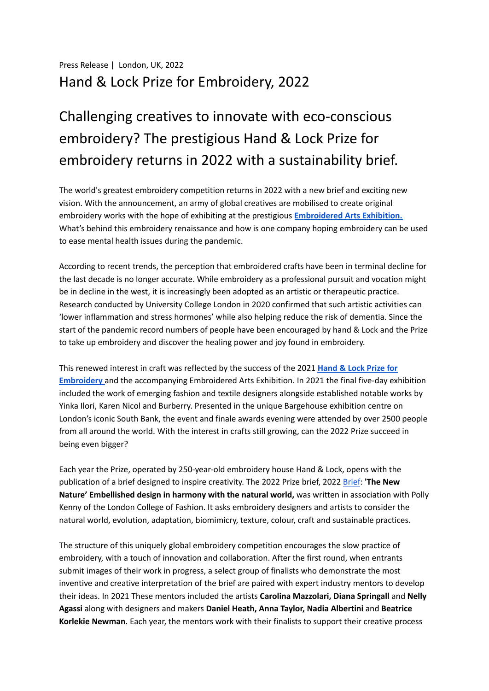## Challenging creatives to innovate with eco-conscious embroidery? The prestigious Hand & Lock Prize for embroidery returns in 2022 with a sustainability brief.

The world's greatest embroidery competition returns in 2022 with a new brief and exciting new vision. With the announcement, an army of global creatives are mobilised to create original embroidery works with the hope of exhibiting at the prestigious **[Embroidered](https://handembroidery.com/hand-and-lock-exhibition-2021/) Arts Exhibition.** What's behind this embroidery renaissance and how is one company hoping embroidery can be used to ease mental health issues during the pandemic.

According to recent trends, the perception that embroidered crafts have been in terminal decline for the last decade is no longer accurate. While embroidery as a professional pursuit and vocation might be in decline in the west, it is increasingly been adopted as an artistic or therapeutic practice. Research conducted by University College London in 2020 confirmed that such artistic activities can 'lower inflammation and stress hormones' while also helping reduce the risk of dementia. Since the start of the pandemic record numbers of people have been encouraged by hand & Lock and the Prize to take up embroidery and discover the healing power and joy found in embroidery.

This renewed interest in craft was reflected by the success of the 2021 **[Hand](https://handembroidery.com/the-prize/) & Lock Prize for [Embroidery](https://handembroidery.com/the-prize/)** and the accompanying Embroidered Arts Exhibition. In 2021 the final five-day exhibition included the work of emerging fashion and textile designers alongside established notable works by Yinka Ilori, Karen Nicol and Burberry. Presented in the unique Bargehouse exhibition centre on London's iconic South Bank, the event and finale awards evening were attended by over 2500 people from all around the world. With the interest in crafts still growing, can the 2022 Prize succeed in being even bigger?

Each year the Prize, operated by 250-year-old embroidery house Hand & Lock, opens with the publication of a brief designed to inspire creativity. The 2022 Prize brief, 2022 [Brief](https://handembroidery.com/the-prize/prize-brief/): **'The New Nature' Embellished design in harmony with the natural world,** was written in association with Polly Kenny of the London College of Fashion. It asks embroidery designers and artists to consider the natural world, evolution, adaptation, biomimicry, texture, colour, craft and sustainable practices.

The structure of this uniquely global embroidery competition encourages the slow practice of embroidery, with a touch of innovation and collaboration. After the first round, when entrants submit images of their work in progress, a select group of finalists who demonstrate the most inventive and creative interpretation of the brief are paired with expert industry mentors to develop their ideas. In 2021 These mentors included the artists **Carolina Mazzolari, Diana Springall** and **Nelly Agassi** along with designers and makers **Daniel Heath, Anna Taylor, Nadia Albertini** and **Beatrice Korlekie Newman**. Each year, the mentors work with their finalists to support their creative process